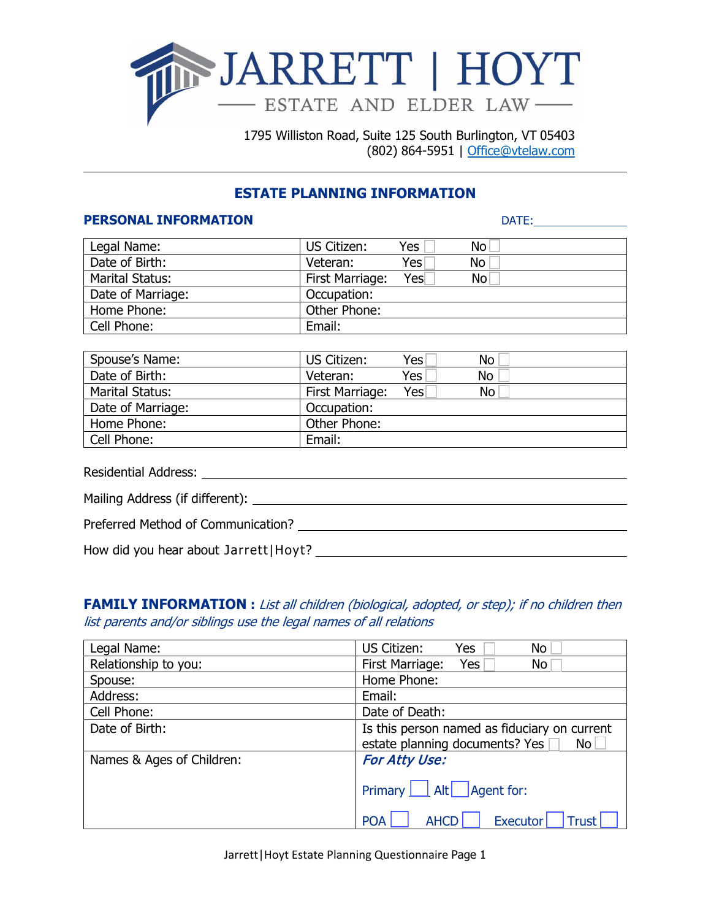

1795 Williston Road, Suite 125 South Burlington, VT 05403 (802) 864-5951 | [Office@vtelaw.com](mailto:Office@vtelaw.com)

# **ESTATE PLANNING INFORMATION**

#### **PERSONAL INFORMATION** DATE:

| Legal Name:            | US Citizen:            | Yes  | No. |
|------------------------|------------------------|------|-----|
| Date of Birth:         | Veteran:               | Yesl | No  |
| <b>Marital Status:</b> | <b>First Marriage:</b> | Yes  | No  |
| Date of Marriage:      | Occupation:            |      |     |
| Home Phone:            | Other Phone:           |      |     |
| Cell Phone:            | Email:                 |      |     |

| Spouse's Name:         | US Citizen:            | Yesl | No |
|------------------------|------------------------|------|----|
| Date of Birth:         | Veteran:               | Yes  | No |
| <b>Marital Status:</b> | <b>First Marriage:</b> | Yes  | No |
| Date of Marriage:      | Occupation:            |      |    |
| Home Phone:            | Other Phone:           |      |    |
| Cell Phone:            | Email:                 |      |    |

| Residential Address: and the state of the state of the state of the state of the state of the state of the state of the state of the state of the state of the state of the state of the state of the state of the state of th |
|--------------------------------------------------------------------------------------------------------------------------------------------------------------------------------------------------------------------------------|
|                                                                                                                                                                                                                                |
| Preferred Method of Communication?                                                                                                                                                                                             |
| How did you hear about Jarrett   Hoyt? __                                                                                                                                                                                      |

**FAMILY INFORMATION** : List all children (biological, adopted, or step); if no children then list parents and/or siblings use the legal names of all relations

| Legal Name:               | US Citizen:<br>Yes<br><b>No</b>                                                                   |
|---------------------------|---------------------------------------------------------------------------------------------------|
| Relationship to you:      | First Marriage:<br>Yes<br>No                                                                      |
| Spouse:                   | Home Phone:                                                                                       |
| Address:                  | Email:                                                                                            |
| Cell Phone:               | Date of Death:                                                                                    |
| Date of Birth:            | Is this person named as fiduciary on current<br>estate planning documents? Yes<br>No <sub>1</sub> |
| Names & Ages of Children: | For Atty Use:                                                                                     |
|                           | Primary   Alt   Agent for:                                                                        |
|                           | <b>Executor</b><br><b>Trust</b><br><b>POA</b><br><b>AHCD</b>                                      |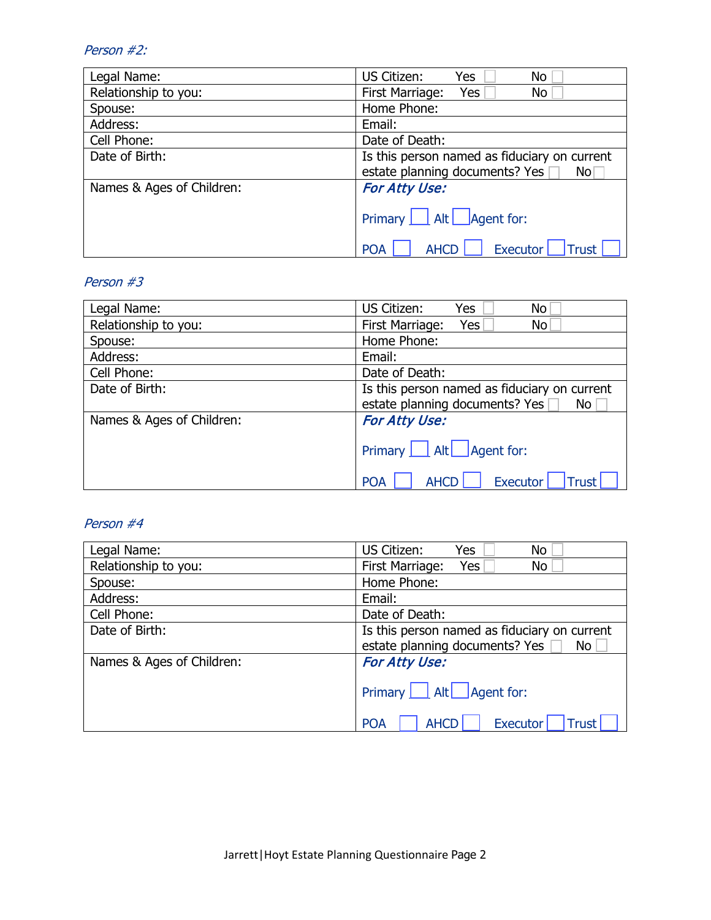### Person #2:

| Legal Name:               | US Citizen:<br>Yes<br>No                              |  |  |  |
|---------------------------|-------------------------------------------------------|--|--|--|
| Relationship to you:      | First Marriage:<br>Yes<br>No                          |  |  |  |
| Spouse:                   | Home Phone:                                           |  |  |  |
| Address:                  | Email:                                                |  |  |  |
| Cell Phone:               | Date of Death:                                        |  |  |  |
| Date of Birth:            | Is this person named as fiduciary on current          |  |  |  |
|                           | estate planning documents? Yes<br>No                  |  |  |  |
| Names & Ages of Children: | <b>For Atty Use:</b>                                  |  |  |  |
|                           | Primary   Alt   Agent for:                            |  |  |  |
|                           | <b>Executor</b><br>Trust<br><b>AHCF</b><br><b>POA</b> |  |  |  |

### Person #3

| Legal Name:               | US Citizen:<br>Yes<br>No                                                                   |  |  |  |
|---------------------------|--------------------------------------------------------------------------------------------|--|--|--|
| Relationship to you:      | First Marriage:<br>Yes<br>No.                                                              |  |  |  |
| Spouse:                   | Home Phone:                                                                                |  |  |  |
| Address:                  | Email:                                                                                     |  |  |  |
| Cell Phone:               | Date of Death:                                                                             |  |  |  |
| Date of Birth:            | Is this person named as fiduciary on current                                               |  |  |  |
|                           | estate planning documents? Yes<br>No                                                       |  |  |  |
| Names & Ages of Children: | For Atty Use:                                                                              |  |  |  |
|                           | Primary   Alt   Agent for:<br><b>Executor</b><br><b>AHCD</b><br><b>Trust</b><br><b>POA</b> |  |  |  |

### Person #4

| Legal Name:               | US Citizen:<br><b>No</b><br>Yes                                                      |  |  |  |  |
|---------------------------|--------------------------------------------------------------------------------------|--|--|--|--|
| Relationship to you:      | First Marriage:<br>Yes<br>No                                                         |  |  |  |  |
| Spouse:                   | Home Phone:                                                                          |  |  |  |  |
| Address:                  | Email:                                                                               |  |  |  |  |
| Cell Phone:               | Date of Death:                                                                       |  |  |  |  |
| Date of Birth:            | Is this person named as fiduciary on current<br>estate planning documents? Yes<br>No |  |  |  |  |
| Names & Ages of Children: | For Atty Use:                                                                        |  |  |  |  |
|                           | Primary   Alt   Agent for:                                                           |  |  |  |  |
|                           | <b>Executor</b><br><b>POA</b><br><b>AHCD</b><br><b>Trust</b>                         |  |  |  |  |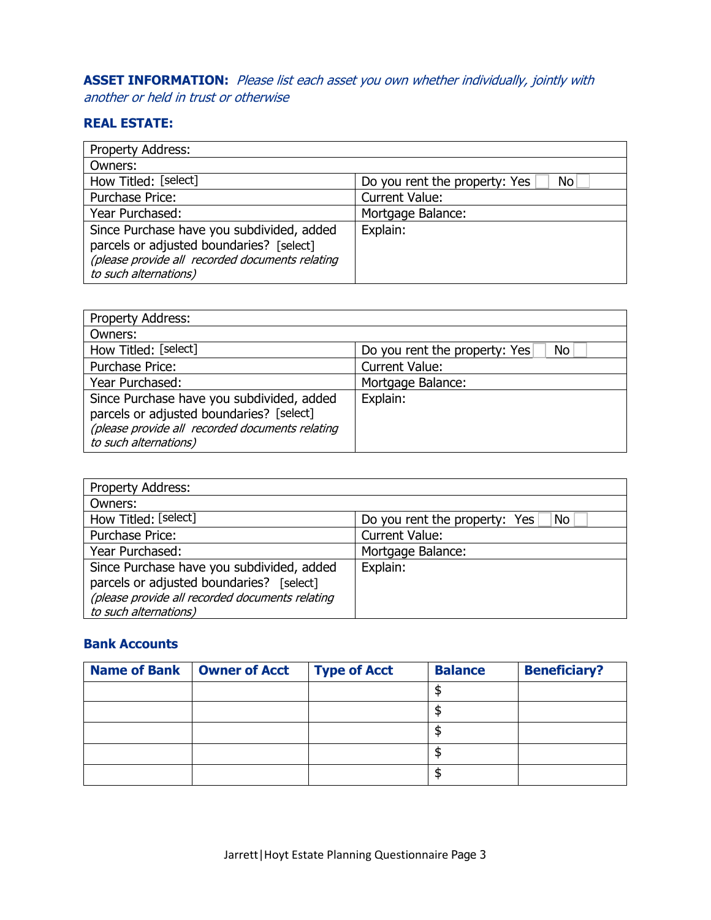**ASSET INFORMATION:** Please list each asset you own whether individually, jointly with another or held in trust or otherwise

## **REAL ESTATE:**

| Property Address:                                                                                                                                                 |                                      |
|-------------------------------------------------------------------------------------------------------------------------------------------------------------------|--------------------------------------|
| Owners:                                                                                                                                                           |                                      |
| How Titled: [select]                                                                                                                                              | Do you rent the property: Yes<br>No. |
| Purchase Price:                                                                                                                                                   | <b>Current Value:</b>                |
| Year Purchased:                                                                                                                                                   | Mortgage Balance:                    |
| Since Purchase have you subdivided, added<br>parcels or adjusted boundaries? [select]<br>(please provide all recorded documents relating<br>to such alternations) | Explain:                             |

| parcels or adjusted boundaries? [select]<br>(please provide all recorded documents relating<br>to such alternations)                                              |                                      |
|-------------------------------------------------------------------------------------------------------------------------------------------------------------------|--------------------------------------|
|                                                                                                                                                                   |                                      |
| Property Address:                                                                                                                                                 |                                      |
| Owners:                                                                                                                                                           |                                      |
| How Titled: [select]                                                                                                                                              | Do you rent the property: Yes<br>No. |
| Purchase Price:                                                                                                                                                   | <b>Current Value:</b>                |
| Year Purchased:                                                                                                                                                   | Mortgage Balance:                    |
| Since Purchase have you subdivided, added<br>parcels or adjusted boundaries? [select]<br>(please provide all recorded documents relating<br>to such alternations) | Explain:                             |
|                                                                                                                                                                   |                                      |
| <b>Property Address:</b>                                                                                                                                          |                                      |
| Owners:                                                                                                                                                           |                                      |
| How Titled: [select]                                                                                                                                              | Do you rent the property: Yes<br>No  |

| Property Address:                               |                                     |
|-------------------------------------------------|-------------------------------------|
| Owners:                                         |                                     |
| How Titled: [select]                            | Do you rent the property: Yes<br>No |
| Purchase Price:                                 | <b>Current Value:</b>               |
| Year Purchased:                                 | Mortgage Balance:                   |
| Since Purchase have you subdivided, added       | Explain:                            |
| parcels or adjusted boundaries? [select]        |                                     |
| (please provide all recorded documents relating |                                     |
| to such alternations)                           |                                     |

### **Bank Accounts**

| Name of Bank   Owner of Acct | <b>Type of Acct</b> | <b>Balance</b> | <b>Beneficiary?</b> |
|------------------------------|---------------------|----------------|---------------------|
|                              |                     |                |                     |
|                              |                     |                |                     |
|                              |                     |                |                     |
|                              |                     |                |                     |
|                              |                     |                |                     |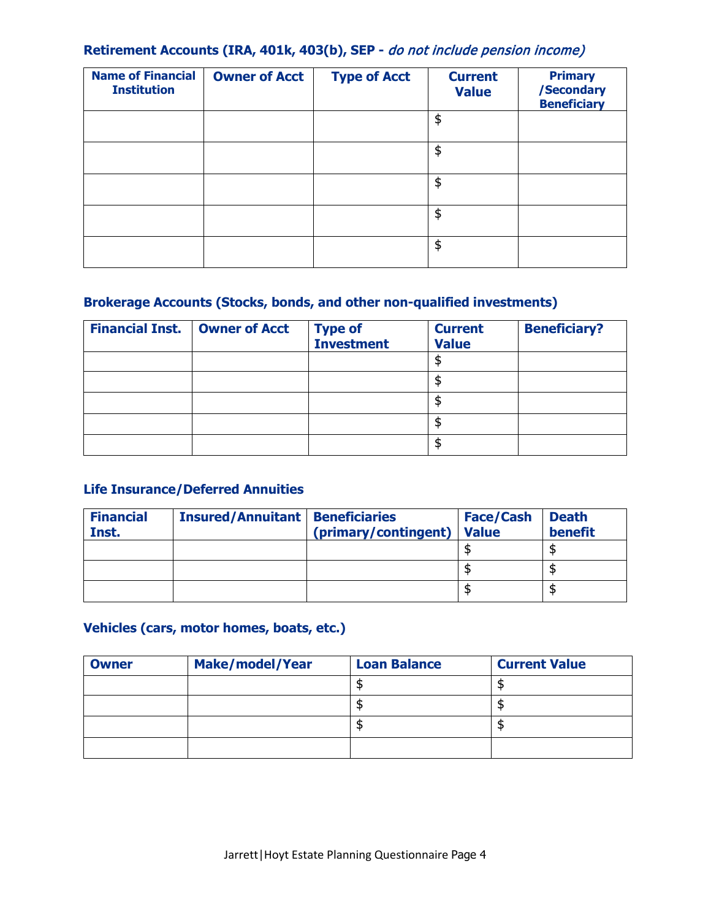## **Retirement Accounts (IRA, 401k, 403(b), SEP -** do not include pension income)

| <b>Name of Financial</b><br><b>Institution</b> | <b>Owner of Acct</b> | <b>Type of Acct</b> | <b>Current</b><br><b>Value</b> | <b>Primary</b><br>/Secondary<br><b>Beneficiary</b> |
|------------------------------------------------|----------------------|---------------------|--------------------------------|----------------------------------------------------|
|                                                |                      |                     | \$                             |                                                    |
|                                                |                      |                     | \$                             |                                                    |
|                                                |                      |                     | \$                             |                                                    |
|                                                |                      |                     | \$                             |                                                    |
|                                                |                      |                     | \$                             |                                                    |

## **Brokerage Accounts (Stocks, bonds, and other non-qualified investments)**

| <b>Financial Inst.</b> | <b>Owner of Acct</b> | <b>Type of<br/>Investment</b> | <b>Current</b><br><b>Value</b> | <b>Beneficiary?</b> |
|------------------------|----------------------|-------------------------------|--------------------------------|---------------------|
|                        |                      |                               | S                              |                     |
|                        |                      |                               | c                              |                     |
|                        |                      |                               | S                              |                     |
|                        |                      |                               | \$.                            |                     |
|                        |                      |                               | c                              |                     |

## **Life Insurance/Deferred Annuities**

| <b>Financial</b><br>Inst. | <b>Insured/Annuitant</b> | <b>Beneficiaries</b><br>(primary/contingent) | <b>Face/Cash</b><br><b>Value</b> | <b>Death</b><br>benefit |
|---------------------------|--------------------------|----------------------------------------------|----------------------------------|-------------------------|
|                           |                          |                                              |                                  |                         |
|                           |                          |                                              |                                  |                         |
|                           |                          |                                              |                                  |                         |

## **Vehicles (cars, motor homes, boats, etc.)**

| <b>Owner</b> | <b>Make/model/Year</b> | <b>Loan Balance</b> | <b>Current Value</b> |
|--------------|------------------------|---------------------|----------------------|
|              |                        |                     |                      |
|              |                        |                     |                      |
|              |                        |                     |                      |
|              |                        |                     |                      |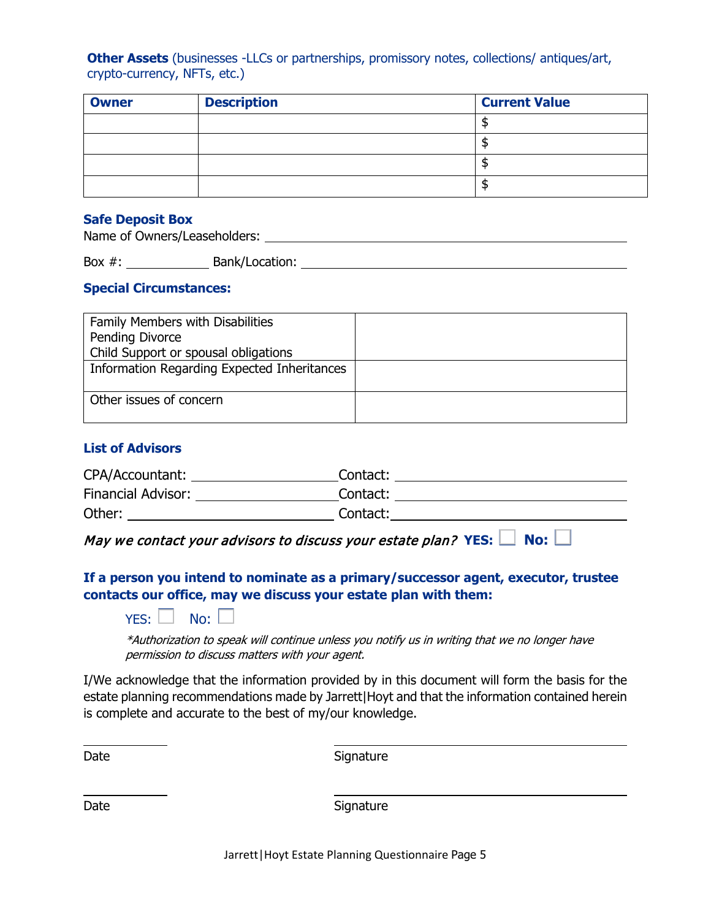**Other Assets** (businesses -LLCs or partnerships, promissory notes, collections/ antiques/art, crypto-currency, NFTs, etc.)

| <b>Owner</b> | <b>Description</b> | <b>Current Value</b> |
|--------------|--------------------|----------------------|
|              |                    |                      |
|              |                    |                      |
|              |                    |                      |
|              |                    |                      |

#### **Safe Deposit Box**

Name of Owners/Leaseholders: University of Owners and Control of Owners and Control of Owners and Control of O

Box #: Bank/Location: Bank-Research Box #:

#### **Special Circumstances:**

| Family Members with Disabilities            |  |
|---------------------------------------------|--|
| Pending Divorce                             |  |
| Child Support or spousal obligations        |  |
| Information Regarding Expected Inheritances |  |
|                                             |  |
| Other issues of concern                     |  |
|                                             |  |

#### **List of Advisors**

| CPA/Accountant:    | Contact: |
|--------------------|----------|
| Financial Advisor: | Contact: |
| Other:             | Contact: |

May we contact your advisors to discuss your estate plan? YES:  $\Box$  No:  $\Box$ 

### **If a person you intend to nominate as a primary/successor agent, executor, trustee contacts our office, may we discuss your estate plan with them:**

 $YES: \Box$  No:

\*Authorization to speak will continue unless you notify us in writing that we no longer have permission to discuss matters with your agent.

I/We acknowledge that the information provided by in this document will form the basis for the estate planning recommendations made by Jarrett | Hoyt and that the information contained herein is complete and accurate to the best of my/our knowledge.

Date Signature Signature

Date Signature Signature